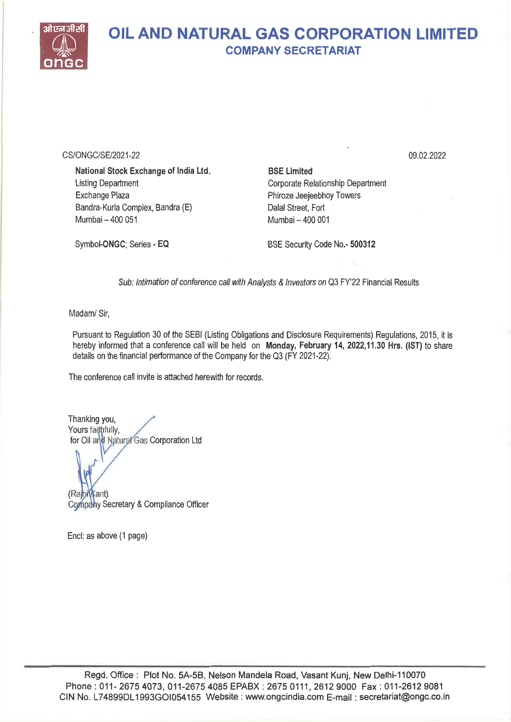

#### OIL AND NATURAL GAS CORPORATION LIMITED COMPANY SECRETARIAT

CS/ONGC/SE/2021-22

National Stock Exchange of India Ltd. Listing Department Exchange Plaza Bandra-Kurla Complex, Bandra (E) Mumbai — 400 051

Symbol-ONGC; Series - EQ

BSE Limited Corporate Relationship Department Phiroze Jeejeebhoy Towers Dalai Street, Fort Mumbai — 400 001

BSE Security Code No.- 500312

Sub: Intimation of conference call with Analysts & Investors on Q3 FY'22 Financial Results

Madam/ Sir,

Pursuant to Regulation 30 of the SEBI (Listing Obligations and Disclosure Requirements) Regulations, 2015, it is hereby informed that a conference call will be held on Monday, February 14, 2022,11.30 Hrs. (IST) to share details on the financial performance of the Company for the Q3 (FY 2021-22).

The conference call invite is attached herewith for records.

Thanking you, Yours faithfully, for Oil and Natural Gas Corporation Ltd

(Raprikant) Company Secretary & Compliance Officer

Encl: as above (1 page)

09.02.2022